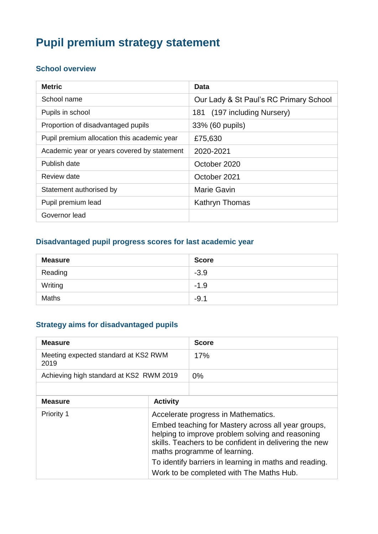# **Pupil premium strategy statement**

## **School overview**

| <b>Metric</b>                               | Data                                   |
|---------------------------------------------|----------------------------------------|
| School name                                 | Our Lady & St Paul's RC Primary School |
| Pupils in school                            | 181 (197 including Nursery)            |
| Proportion of disadvantaged pupils          | 33% (60 pupils)                        |
| Pupil premium allocation this academic year | £75,630                                |
| Academic year or years covered by statement | 2020-2021                              |
| Publish date                                | October 2020                           |
| Review date                                 | October 2021                           |
| Statement authorised by                     | <b>Marie Gavin</b>                     |
| Pupil premium lead                          | Kathryn Thomas                         |
| Governor lead                               |                                        |

## **Disadvantaged pupil progress scores for last academic year**

| <b>Measure</b> | <b>Score</b> |
|----------------|--------------|
| Reading        | $-3.9$       |
| Writing        | $-1.9$       |
| <b>Maths</b>   | $-9.1$       |

## **Strategy aims for disadvantaged pupils**

| <b>Measure</b>                               |                                                                                                                                                                                                                                                                                                                                               | <b>Score</b> |
|----------------------------------------------|-----------------------------------------------------------------------------------------------------------------------------------------------------------------------------------------------------------------------------------------------------------------------------------------------------------------------------------------------|--------------|
| Meeting expected standard at KS2 RWM<br>2019 |                                                                                                                                                                                                                                                                                                                                               | 17%          |
| Achieving high standard at KS2 RWM 2019      |                                                                                                                                                                                                                                                                                                                                               | $0\%$        |
|                                              |                                                                                                                                                                                                                                                                                                                                               |              |
| <b>Measure</b>                               | <b>Activity</b>                                                                                                                                                                                                                                                                                                                               |              |
| Priority 1                                   | Accelerate progress in Mathematics.<br>Embed teaching for Mastery across all year groups,<br>helping to improve problem solving and reasoning<br>skills. Teachers to be confident in delivering the new<br>maths programme of learning.<br>To identify barriers in learning in maths and reading.<br>Work to be completed with The Maths Hub. |              |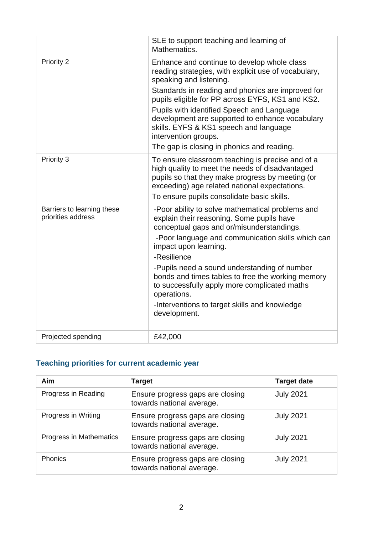|                                                  | SLE to support teaching and learning of<br>Mathematics.                                                                                                                                                                                                                                                                                                                                                                                                                      |
|--------------------------------------------------|------------------------------------------------------------------------------------------------------------------------------------------------------------------------------------------------------------------------------------------------------------------------------------------------------------------------------------------------------------------------------------------------------------------------------------------------------------------------------|
| Priority 2                                       | Enhance and continue to develop whole class<br>reading strategies, with explicit use of vocabulary,<br>speaking and listening.<br>Standards in reading and phonics are improved for<br>pupils eligible for PP across EYFS, KS1 and KS2.<br>Pupils with identified Speech and Language<br>development are supported to enhance vocabulary<br>skills. EYFS & KS1 speech and language<br>intervention groups.<br>The gap is closing in phonics and reading.                     |
| Priority 3                                       | To ensure classroom teaching is precise and of a<br>high quality to meet the needs of disadvantaged<br>pupils so that they make progress by meeting (or<br>exceeding) age related national expectations.<br>To ensure pupils consolidate basic skills.                                                                                                                                                                                                                       |
| Barriers to learning these<br>priorities address | -Poor ability to solve mathematical problems and<br>explain their reasoning. Some pupils have<br>conceptual gaps and or/misunderstandings.<br>-Poor language and communication skills which can<br>impact upon learning.<br>-Resilience<br>-Pupils need a sound understanding of number<br>bonds and times tables to free the working memory<br>to successfully apply more complicated maths<br>operations.<br>-Interventions to target skills and knowledge<br>development. |
| Projected spending                               | £42,000                                                                                                                                                                                                                                                                                                                                                                                                                                                                      |

## **Teaching priorities for current academic year**

| <b>Aim</b>              | <b>Target</b>                                                 | <b>Target date</b> |
|-------------------------|---------------------------------------------------------------|--------------------|
| Progress in Reading     | Ensure progress gaps are closing<br>towards national average. | <b>July 2021</b>   |
| Progress in Writing     | Ensure progress gaps are closing<br>towards national average. | <b>July 2021</b>   |
| Progress in Mathematics | Ensure progress gaps are closing<br>towards national average. | <b>July 2021</b>   |
| <b>Phonics</b>          | Ensure progress gaps are closing<br>towards national average. | <b>July 2021</b>   |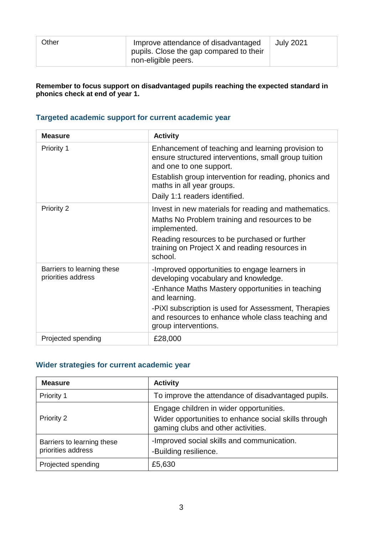| Other | Improve attendance of disadvantaged<br>pupils. Close the gap compared to their<br>non-eligible peers. | <b>July 2021</b> |
|-------|-------------------------------------------------------------------------------------------------------|------------------|
|       |                                                                                                       |                  |

#### **Remember to focus support on disadvantaged pupils reaching the expected standard in phonics check at end of year 1.**

#### **Targeted academic support for current academic year**

| <b>Measure</b>                                   | <b>Activity</b>                                                                                                                                                                                                                                                                                 |
|--------------------------------------------------|-------------------------------------------------------------------------------------------------------------------------------------------------------------------------------------------------------------------------------------------------------------------------------------------------|
| Priority 1                                       | Enhancement of teaching and learning provision to<br>ensure structured interventions, small group tuition<br>and one to one support.<br>Establish group intervention for reading, phonics and<br>maths in all year groups.<br>Daily 1:1 readers identified.                                     |
| <b>Priority 2</b>                                | Invest in new materials for reading and mathematics.<br>Maths No Problem training and resources to be<br>implemented.<br>Reading resources to be purchased or further<br>training on Project X and reading resources in<br>school.                                                              |
| Barriers to learning these<br>priorities address | -Improved opportunities to engage learners in<br>developing vocabulary and knowledge.<br>-Enhance Maths Mastery opportunities in teaching<br>and learning.<br>-PiXI subscription is used for Assessment, Therapies<br>and resources to enhance whole class teaching and<br>group interventions. |
| Projected spending                               | £28,000                                                                                                                                                                                                                                                                                         |

#### **Wider strategies for current academic year**

| <b>Measure</b>                                   | <b>Activity</b>                                                                                                                       |
|--------------------------------------------------|---------------------------------------------------------------------------------------------------------------------------------------|
| Priority 1                                       | To improve the attendance of disadvantaged pupils.                                                                                    |
| <b>Priority 2</b>                                | Engage children in wider opportunities.<br>Wider opportunities to enhance social skills through<br>gaming clubs and other activities. |
| Barriers to learning these<br>priorities address | -Improved social skills and communication.<br>-Building resilience.                                                                   |
| Projected spending                               | £5,630                                                                                                                                |